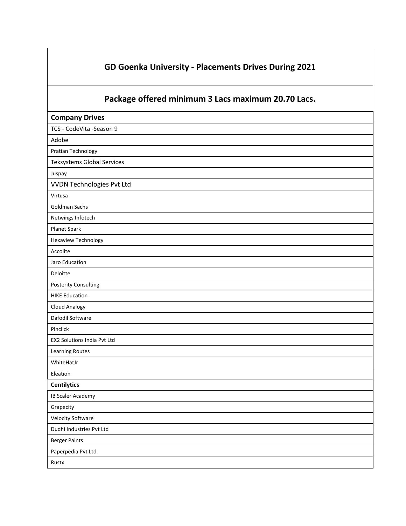## **GD Goenka University - Placements Drives During 2021**

## **Package offered minimum 3 Lacs maximum 20.70 Lacs.**

| <b>Company Drives</b>             |  |
|-----------------------------------|--|
| TCS - CodeVita -Season 9          |  |
| Adobe                             |  |
| Pratian Technology                |  |
| <b>Teksystems Global Services</b> |  |
| Juspay                            |  |
| <b>VVDN Technologies Pvt Ltd</b>  |  |
| Virtusa                           |  |
| Goldman Sachs                     |  |
| Netwings Infotech                 |  |
| Planet Spark                      |  |
| <b>Hexaview Technology</b>        |  |
| Accolite                          |  |
| Jaro Education                    |  |
| Deloitte                          |  |
| <b>Posterity Consulting</b>       |  |
| <b>HIKE Education</b>             |  |
| <b>Cloud Analogy</b>              |  |
| Dafodil Software                  |  |
| Pinclick                          |  |
| EX2 Solutions India Pvt Ltd       |  |
| <b>Learning Routes</b>            |  |
| WhiteHatJr                        |  |
| Eleation                          |  |
| <b>Centilytics</b>                |  |
| <b>IB Scaler Academy</b>          |  |
| Grapecity                         |  |
| <b>Velocity Software</b>          |  |
| Dudhi Industries Pvt Ltd          |  |
| <b>Berger Paints</b>              |  |
| Paperpedia Pvt Ltd                |  |
| Rustx                             |  |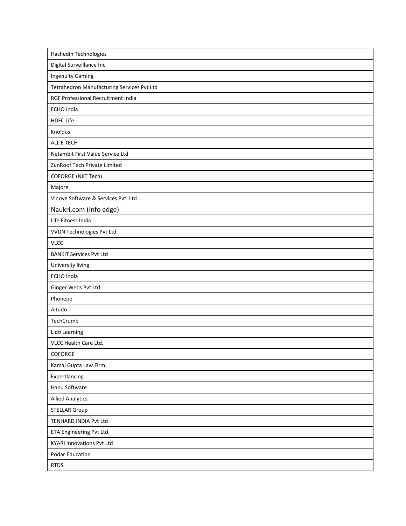| Hashedin Technologies                      |
|--------------------------------------------|
| Digital Surveillance Inc                   |
| <b>Ingenuity Gaming</b>                    |
| Tetrahedron Manufacturing Services Pvt Ltd |
| RGF Professional Recruitment India         |
| <b>ECHO</b> India                          |
| <b>HDFC Life</b>                           |
| Knoldus                                    |
| ALL E TECH                                 |
| Netambit First Value Service Ltd           |
| ZunRoof Tech Private Limited               |
| <b>COFORGE (NIIT Tech)</b>                 |
| Majorel                                    |
| Vinove Software & Services Pvt. Ltd        |
| Naukri.com (Info edge)                     |
| Life Fitness India                         |
| VVDN Technologies Pvt Ltd                  |
| <b>VLCC</b>                                |
| <b>BANKIT Services Pvt Ltd</b>             |
| University living                          |
| <b>ECHO</b> India                          |
|                                            |
| Ginger Webs Pvt Ltd.                       |
| Phonepe                                    |
| Altudo                                     |
| TechCrumb                                  |
| Lido Learning                              |
| VLCC Health Care Ltd.                      |
| COFORGE                                    |
| Kamal Gupta Law Firm                       |
| Expertlancing                              |
| Hanu Software                              |
| <b>Allied Analytics</b>                    |
| <b>STELLAR Group</b>                       |
| TENHARD INDIA Pvt Ltd                      |
| ETA Engineering Pvt Ltd.                   |
| <b>KYARI Innovations Pvt Ltd</b>           |
| Podar Education                            |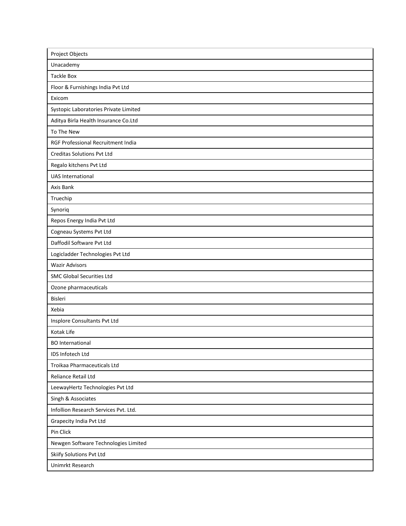| Project Objects                       |
|---------------------------------------|
| Unacademy                             |
| <b>Tackle Box</b>                     |
| Floor & Furnishings India Pvt Ltd     |
| Exicom                                |
| Systopic Laboratories Private Limited |
| Aditya Birla Health Insurance Co.Ltd  |
| To The New                            |
| RGF Professional Recruitment India    |
| <b>Creditas Solutions Pvt Ltd</b>     |
| Regalo kitchens Pvt Ltd               |
| <b>UAS International</b>              |
| Axis Bank                             |
| Truechip                              |
| Synoriq                               |
| Repos Energy India Pvt Ltd            |
| Cogneau Systems Pvt Ltd               |
| Daffodil Software Pvt Ltd             |
| Logicladder Technologies Pvt Ltd      |
|                                       |
| <b>Wazir Advisors</b>                 |
| <b>SMC Global Securities Ltd</b>      |
| Ozone pharmaceuticals                 |
| Bisleri                               |
| Xebia                                 |
| Insplore Consultants Pvt Ltd          |
| Kotak Life                            |
| <b>BO</b> International               |
| IDS Infotech Ltd                      |
| Troikaa Pharmaceuticals Ltd           |
| Reliance Retail Ltd                   |
| LeewayHertz Technologies Pvt Ltd      |
| Singh & Associates                    |
| Infollion Research Services Pvt. Ltd. |
| Grapecity India Pvt Ltd               |
| Pin Click                             |
| Newgen Software Technologies Limited  |
| Skiify Solutions Pvt Ltd              |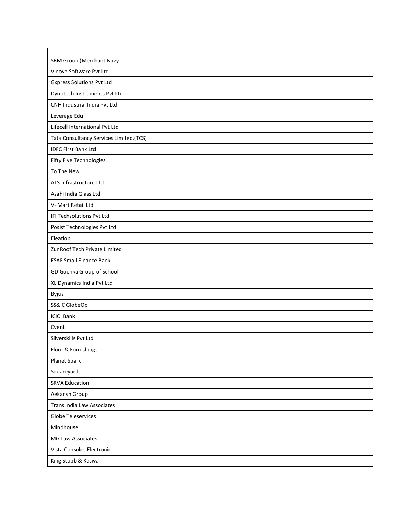| SBM Group (Merchant Navy                |
|-----------------------------------------|
| Vinove Software Pvt Ltd                 |
| <b>Gxpress Solutions Pvt Ltd</b>        |
| Dynotech Instruments Pvt Ltd.           |
| CNH Industrial India Pvt Ltd.           |
| Leverage Edu                            |
| Lifecell International Pvt Ltd          |
| Tata Consultancy Services Limited.(TCS) |
| <b>IDFC First Bank Ltd</b>              |
| Fifty Five Technologies                 |
| To The New                              |
| ATS Infrastructure Ltd                  |
| Asahi India Glass Ltd                   |
| V- Mart Retail Ltd                      |
| IFI Techsolutions Pvt Ltd               |
| Posist Technologies Pvt Ltd             |
| Eleation                                |
| ZunRoof Tech Private Limited            |
| <b>ESAF Small Finance Bank</b>          |
| GD Goenka Group of School               |
| XL Dynamics India Pvt Ltd               |
| Byjus                                   |
| SS& C GlobeOp                           |
| <b>ICICI Bank</b>                       |
| Cvent                                   |
| Silverskills Pvt Ltd                    |
| Floor & Furnishings                     |
| Planet Spark                            |
| Squareyards                             |
| <b>SRVA Education</b>                   |
| Aekansh Group                           |
| <b>Trans India Law Associates</b>       |
| Globe Teleservices                      |
| Mindhouse                               |
| MG Law Associates                       |
| Vista Consoles Electronic               |
| King Stubb & Kasiva                     |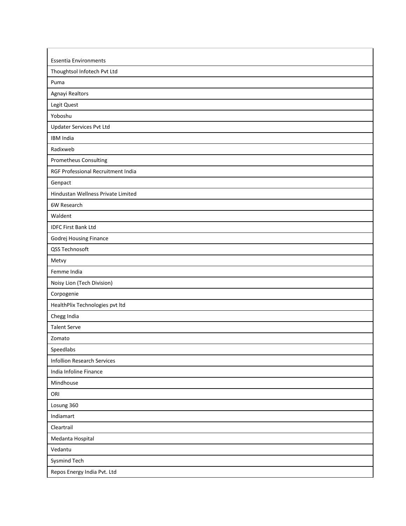| <b>Essentia Environments</b>       |
|------------------------------------|
| Thoughtsol Infotech Pvt Ltd        |
| Puma                               |
| Agnayi Realtors                    |
| Legit Quest                        |
| Yoboshu                            |
| <b>Updater Services Pvt Ltd</b>    |
| <b>IBM India</b>                   |
| Radixweb                           |
| Prometheus Consulting              |
| RGF Professional Recruitment India |
| Genpact                            |
| Hindustan Wellness Private Limited |
| 6W Research                        |
| Waldent                            |
| <b>IDFC First Bank Ltd</b>         |
| Godrej Housing Finance             |
| QSS Technosoft                     |
| Metvy                              |
| Femme India                        |
| Noisy Lion (Tech Division)         |
| Corpogenie                         |
| HealthPlix Technologies pvt ltd    |
| Chegg India                        |
| <b>Talent Serve</b>                |
| Zomato                             |
| Speedlabs                          |
| <b>Infollion Research Services</b> |
| India Infoline Finance             |
| Mindhouse                          |
| ORI                                |
| Losung 360                         |
| Indiamart                          |
| Cleartrail                         |
| Medanta Hospital                   |
| Vedantu                            |
| Sysmind Tech                       |
| Repos Energy India Pvt. Ltd        |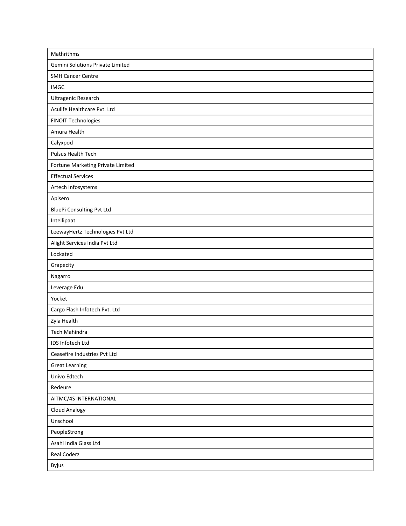| Mathrithms                        |
|-----------------------------------|
| Gemini Solutions Private Limited  |
| <b>SMH Cancer Centre</b>          |
| <b>IMGC</b>                       |
| Ultragenic Research               |
| Aculife Healthcare Pvt. Ltd       |
| FINOIT Technologies               |
| Amura Health                      |
| Calyxpod                          |
| Pulsus Health Tech                |
| Fortune Marketing Private Limited |
| <b>Effectual Services</b>         |
| Artech Infosystems                |
| Apisero                           |
| <b>BluePi Consulting Pvt Ltd</b>  |
| Intellipaat                       |
| LeewayHertz Technologies Pvt Ltd  |
| Alight Services India Pvt Ltd     |
| Lockated                          |
| Grapecity                         |
| Nagarro                           |
| Leverage Edu                      |
| Yocket                            |
| Cargo Flash Infotech Pvt. Ltd     |
| Zyla Health                       |
| Tech Mahindra                     |
| IDS Infotech Ltd                  |
| Ceasefire Industries Pvt Ltd      |
| <b>Great Learning</b>             |
| Univo Edtech                      |
| Redeure                           |
| AITMC/4S INTERNATIONAL            |
| <b>Cloud Analogy</b>              |
| Unschool                          |
| PeopleStrong                      |
| Asahi India Glass Ltd             |
| Real Coderz                       |
| Byjus                             |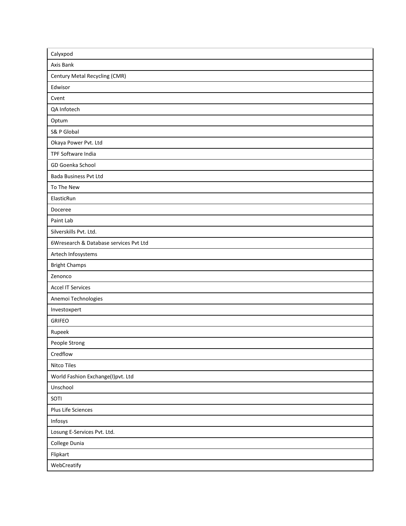| Calyxpod                               |
|----------------------------------------|
| Axis Bank                              |
| Century Metal Recycling (CMR)          |
| Edwisor                                |
| Cvent                                  |
| QA Infotech                            |
| Optum                                  |
| S& P Global                            |
| Okaya Power Pvt. Ltd                   |
| TPF Software India                     |
| GD Goenka School                       |
| Bada Business Pvt Ltd                  |
| To The New                             |
| ElasticRun                             |
| Doceree                                |
| Paint Lab                              |
| Silverskills Pvt. Ltd.                 |
| 6Wresearch & Database services Pvt Ltd |
| Artech Infosystems                     |
| <b>Bright Champs</b>                   |
| Zenonco                                |
| <b>Accel IT Services</b>               |
| Anemoi Technologies                    |
| Investoxpert                           |
| <b>GRIFEO</b>                          |
| Rupeek                                 |
| People Strong                          |
| Credflow                               |
| Nitco Tiles                            |
| World Fashion Exchange(I)pvt. Ltd      |
| Unschool                               |
| SOTI                                   |
| Plus Life Sciences                     |
| Infosys                                |
| Losung E-Services Pvt. Ltd.            |
| College Dunia                          |
| Flipkart                               |
| WebCreatify                            |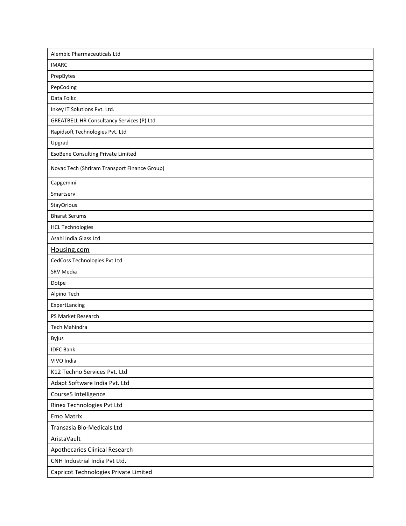| Alembic Pharmaceuticals Ltd                  |
|----------------------------------------------|
| <b>IMARC</b>                                 |
| PrepBytes                                    |
| PepCoding                                    |
| Data Folkz                                   |
| Inkey IT Solutions Pvt. Ltd.                 |
| GREATBELL HR Consultancy Services (P) Ltd    |
| Rapidsoft Technologies Pvt. Ltd              |
| Upgrad                                       |
| <b>EsoBene Consulting Private Limited</b>    |
| Novac Tech (Shriram Transport Finance Group) |
| Capgemini                                    |
| Smartserv                                    |
| <b>StayQrious</b>                            |
| <b>Bharat Serums</b>                         |
| <b>HCL Technologies</b>                      |
| Asahi India Glass Ltd                        |
| Housing.com                                  |
| CedCoss Technologies Pvt Ltd                 |
| SRV Media                                    |
| Dotpe                                        |
| Alpino Tech                                  |
| ExpertLancing                                |
| PS Market Research                           |
| Tech Mahindra                                |
| Byjus                                        |
| <b>IDFC Bank</b>                             |
| VIVO India                                   |
| K12 Techno Services Pvt. Ltd                 |
| Adapt Software India Pvt. Ltd                |
| Course5 Intelligence                         |
| Rinex Technologies Pvt Ltd                   |
| <b>Emo Matrix</b>                            |
| Transasia Bio-Medicals Ltd                   |
| AristaVault                                  |
| Apothecaries Clinical Research               |
| CNH Industrial India Pvt Ltd.                |
| Capricot Technologies Private Limited        |